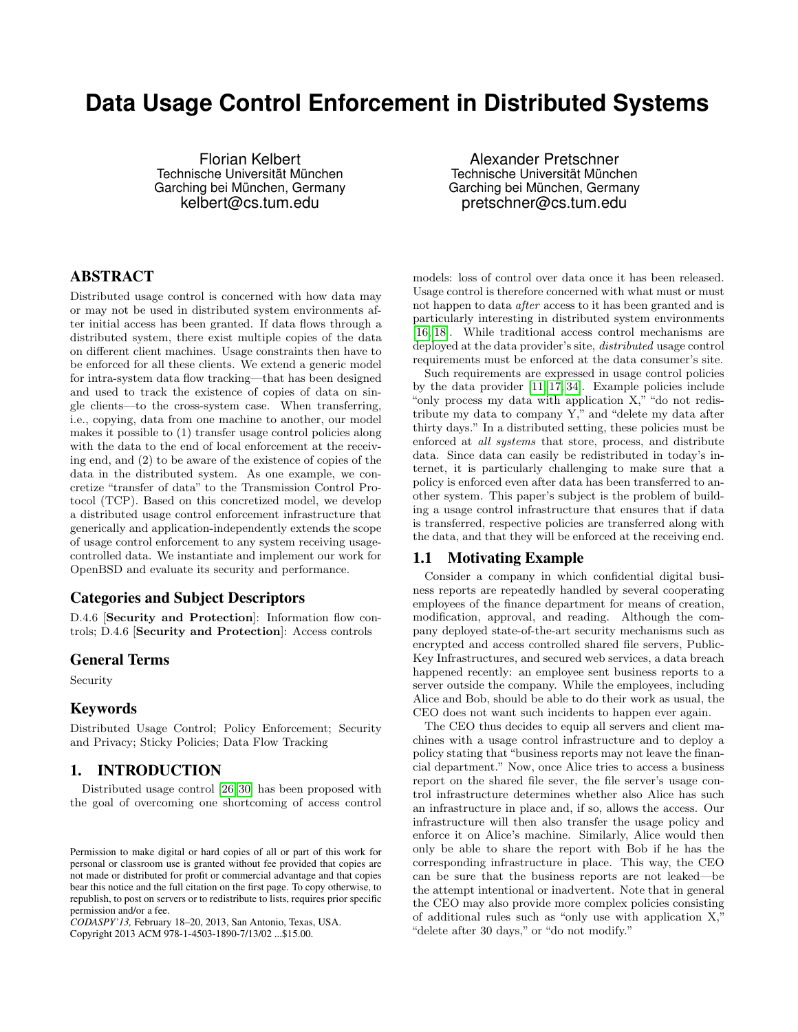# **Data Usage Control Enforcement in Distributed Systems**

Florian Kelbert Technische Universität München Garching bei München, Germany kelbert@cs.tum.edu

Alexander Pretschner Technische Universität München Garching bei München, Germany pretschner@cs.tum.edu

# ABSTRACT

Distributed usage control is concerned with how data may or may not be used in distributed system environments after initial access has been granted. If data flows through a distributed system, there exist multiple copies of the data on different client machines. Usage constraints then have to be enforced for all these clients. We extend a generic model for intra-system data flow tracking—that has been designed and used to track the existence of copies of data on single clients—to the cross-system case. When transferring, i.e., copying, data from one machine to another, our model makes it possible to (1) transfer usage control policies along with the data to the end of local enforcement at the receiving end, and (2) to be aware of the existence of copies of the data in the distributed system. As one example, we concretize "transfer of data" to the Transmission Control Protocol (TCP). Based on this concretized model, we develop a distributed usage control enforcement infrastructure that generically and application-independently extends the scope of usage control enforcement to any system receiving usagecontrolled data. We instantiate and implement our work for OpenBSD and evaluate its security and performance.

#### Categories and Subject Descriptors

D.4.6 [Security and Protection]: Information flow controls; D.4.6 [Security and Protection]: Access controls

#### General Terms

Security

#### Keywords

Distributed Usage Control; Policy Enforcement; Security and Privacy; Sticky Policies; Data Flow Tracking

## 1. INTRODUCTION

Distributed usage control [\[26,](#page-11-0) [30\]](#page-11-1) has been proposed with the goal of overcoming one shortcoming of access control

*CODASPY'13,* February 18–20, 2013, San Antonio, Texas, USA. Copyright 2013 ACM 978-1-4503-1890-7/13/02 ...\$15.00.

models: loss of control over data once it has been released. Usage control is therefore concerned with what must or must not happen to data after access to it has been granted and is particularly interesting in distributed system environments [\[16,](#page-11-2) [18\]](#page-11-3). While traditional access control mechanisms are deployed at the data provider's site, distributed usage control requirements must be enforced at the data consumer's site.

Such requirements are expressed in usage control policies by the data provider [\[11,](#page-10-0) [17,](#page-11-4) [34\]](#page-11-5). Example policies include "only process my data with application X," "do not redistribute my data to company Y," and "delete my data after thirty days." In a distributed setting, these policies must be enforced at all systems that store, process, and distribute data. Since data can easily be redistributed in today's internet, it is particularly challenging to make sure that a policy is enforced even after data has been transferred to another system. This paper's subject is the problem of building a usage control infrastructure that ensures that if data is transferred, respective policies are transferred along with the data, and that they will be enforced at the receiving end.

#### <span id="page-0-0"></span>1.1 Motivating Example

Consider a company in which confidential digital business reports are repeatedly handled by several cooperating employees of the finance department for means of creation, modification, approval, and reading. Although the company deployed state-of-the-art security mechanisms such as encrypted and access controlled shared file servers, Public-Key Infrastructures, and secured web services, a data breach happened recently: an employee sent business reports to a server outside the company. While the employees, including Alice and Bob, should be able to do their work as usual, the CEO does not want such incidents to happen ever again.

The CEO thus decides to equip all servers and client machines with a usage control infrastructure and to deploy a policy stating that "business reports may not leave the financial department." Now, once Alice tries to access a business report on the shared file sever, the file server's usage control infrastructure determines whether also Alice has such an infrastructure in place and, if so, allows the access. Our infrastructure will then also transfer the usage policy and enforce it on Alice's machine. Similarly, Alice would then only be able to share the report with Bob if he has the corresponding infrastructure in place. This way, the CEO can be sure that the business reports are not leaked—be the attempt intentional or inadvertent. Note that in general the CEO may also provide more complex policies consisting of additional rules such as "only use with application  $X$ ," "delete after 30 days," or "do not modify."

Permission to make digital or hard copies of all or part of this work for personal or classroom use is granted without fee provided that copies are not made or distributed for profit or commercial advantage and that copies bear this notice and the full citation on the first page. To copy otherwise, to republish, to post on servers or to redistribute to lists, requires prior specific permission and/or a fee.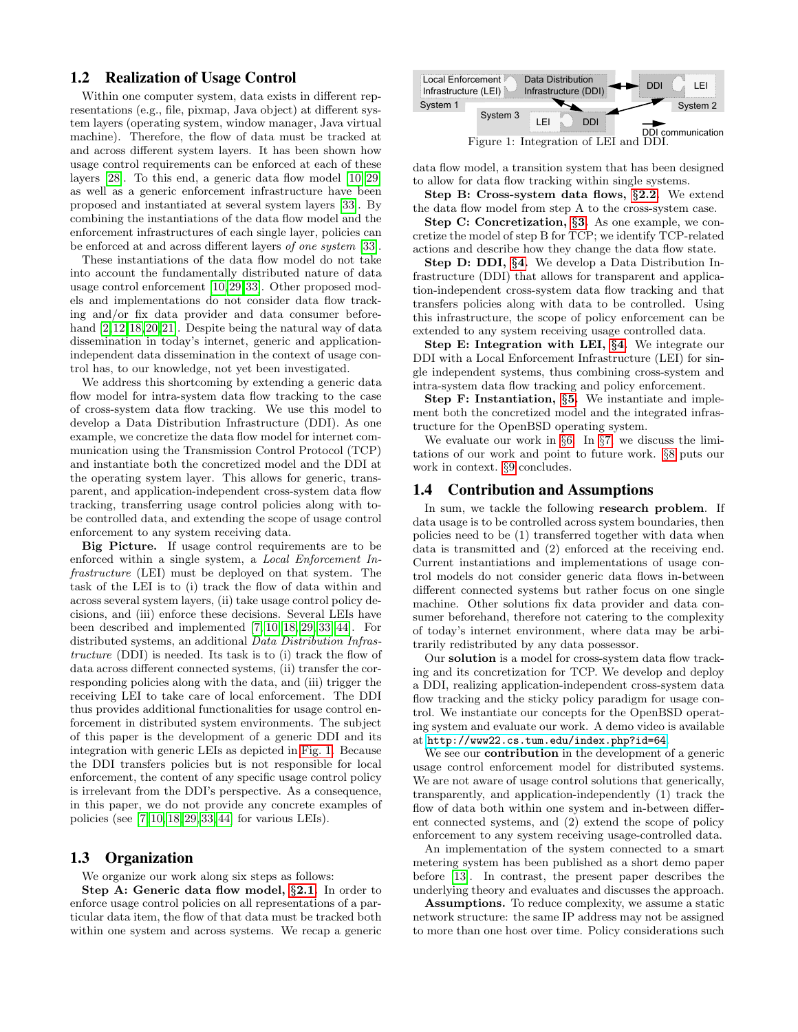## 1.2 Realization of Usage Control

Within one computer system, data exists in different representations (e.g., file, pixmap, Java object) at different system layers (operating system, window manager, Java virtual machine). Therefore, the flow of data must be tracked at and across different system layers. It has been shown how usage control requirements can be enforced at each of these layers [\[28\]](#page-11-6). To this end, a generic data flow model [\[10,](#page-10-1) [29\]](#page-11-7) as well as a generic enforcement infrastructure have been proposed and instantiated at several system layers [\[33\]](#page-11-8). By combining the instantiations of the data flow model and the enforcement infrastructures of each single layer, policies can be enforced at and across different layers of one system [\[33\]](#page-11-8).

These instantiations of the data flow model do not take into account the fundamentally distributed nature of data usage control enforcement [\[10,](#page-10-1) [29,](#page-11-7) [33\]](#page-11-8). Other proposed models and implementations do not consider data flow tracking and/or fix data provider and data consumer beforehand [\[2,](#page-10-2)[12,](#page-10-3)[18,](#page-11-3)[20,](#page-11-9)[21\]](#page-11-10). Despite being the natural way of data dissemination in today's internet, generic and applicationindependent data dissemination in the context of usage control has, to our knowledge, not yet been investigated.

We address this shortcoming by extending a generic data flow model for intra-system data flow tracking to the case of cross-system data flow tracking. We use this model to develop a Data Distribution Infrastructure (DDI). As one example, we concretize the data flow model for internet communication using the Transmission Control Protocol (TCP) and instantiate both the concretized model and the DDI at the operating system layer. This allows for generic, transparent, and application-independent cross-system data flow tracking, transferring usage control policies along with tobe controlled data, and extending the scope of usage control enforcement to any system receiving data.

Big Picture. If usage control requirements are to be enforced within a single system, a Local Enforcement Infrastructure (LEI) must be deployed on that system. The task of the LEI is to (i) track the flow of data within and across several system layers, (ii) take usage control policy decisions, and (iii) enforce these decisions. Several LEIs have been described and implemented [\[7,](#page-10-4) [10,](#page-10-1) [18,](#page-11-3) [29,](#page-11-7) [33,](#page-11-8) [44\]](#page-11-11). For distributed systems, an additional *Data Distribution Infras*tructure (DDI) is needed. Its task is to (i) track the flow of data across different connected systems, (ii) transfer the corresponding policies along with the data, and (iii) trigger the receiving LEI to take care of local enforcement. The DDI thus provides additional functionalities for usage control enforcement in distributed system environments. The subject of this paper is the development of a generic DDI and its integration with generic LEIs as depicted in [Fig. 1.](#page-1-0) Because the DDI transfers policies but is not responsible for local enforcement, the content of any specific usage control policy is irrelevant from the DDI's perspective. As a consequence, in this paper, we do not provide any concrete examples of policies (see [\[7,](#page-10-4) [10,](#page-10-1) [18,](#page-11-3) [29,](#page-11-7) [33,](#page-11-8) [44\]](#page-11-11) for various LEIs).

#### 1.3 Organization

We organize our work along six steps as follows:

Step A: Generic data flow model, §[2.1.](#page-2-0) In order to enforce usage control policies on all representations of a particular data item, the flow of that data must be tracked both within one system and across systems. We recap a generic

<span id="page-1-0"></span>

data flow model, a transition system that has been designed to allow for data flow tracking within single systems.

Step B: Cross-system data flows, §[2.2.](#page-2-1) We extend the data flow model from step A to the cross-system case.

Step C: Concretization, §[3.](#page-3-0) As one example, we concretize the model of step B for TCP; we identify TCP-related actions and describe how they change the data flow state.

Step D: DDI, §[4.](#page-4-0) We develop a Data Distribution Infrastructure (DDI) that allows for transparent and application-independent cross-system data flow tracking and that transfers policies along with data to be controlled. Using this infrastructure, the scope of policy enforcement can be extended to any system receiving usage controlled data.

Step E: Integration with LEI, §[4.](#page-4-0) We integrate our DDI with a Local Enforcement Infrastructure (LEI) for single independent systems, thus combining cross-system and intra-system data flow tracking and policy enforcement.

Step F: Instantiation, §[5.](#page-5-0) We instantiate and implement both the concretized model and the integrated infrastructure for the OpenBSD operating system.

We evaluate our work in §[6.](#page-6-0) In §[7,](#page-9-0) we discuss the limitations of our work and point to future work. §[8](#page-9-1) puts our work in context. §[9](#page-10-5) concludes.

#### 1.4 Contribution and Assumptions

In sum, we tackle the following research problem. If data usage is to be controlled across system boundaries, then policies need to be (1) transferred together with data when data is transmitted and (2) enforced at the receiving end. Current instantiations and implementations of usage control models do not consider generic data flows in-between different connected systems but rather focus on one single machine. Other solutions fix data provider and data consumer beforehand, therefore not catering to the complexity of today's internet environment, where data may be arbitrarily redistributed by any data possessor.

Our solution is a model for cross-system data flow tracking and its concretization for TCP. We develop and deploy a DDI, realizing application-independent cross-system data flow tracking and the sticky policy paradigm for usage control. We instantiate our concepts for the OpenBSD operating system and evaluate our work. A demo video is available at <http://www22.cs.tum.edu/index.php?id=64>.

We see our **contribution** in the development of a generic usage control enforcement model for distributed systems. We are not aware of usage control solutions that generically, transparently, and application-independently (1) track the flow of data both within one system and in-between different connected systems, and (2) extend the scope of policy enforcement to any system receiving usage-controlled data.

An implementation of the system connected to a smart metering system has been published as a short demo paper before [\[13\]](#page-10-6). In contrast, the present paper describes the underlying theory and evaluates and discusses the approach.

Assumptions. To reduce complexity, we assume a static network structure: the same IP address may not be assigned to more than one host over time. Policy considerations such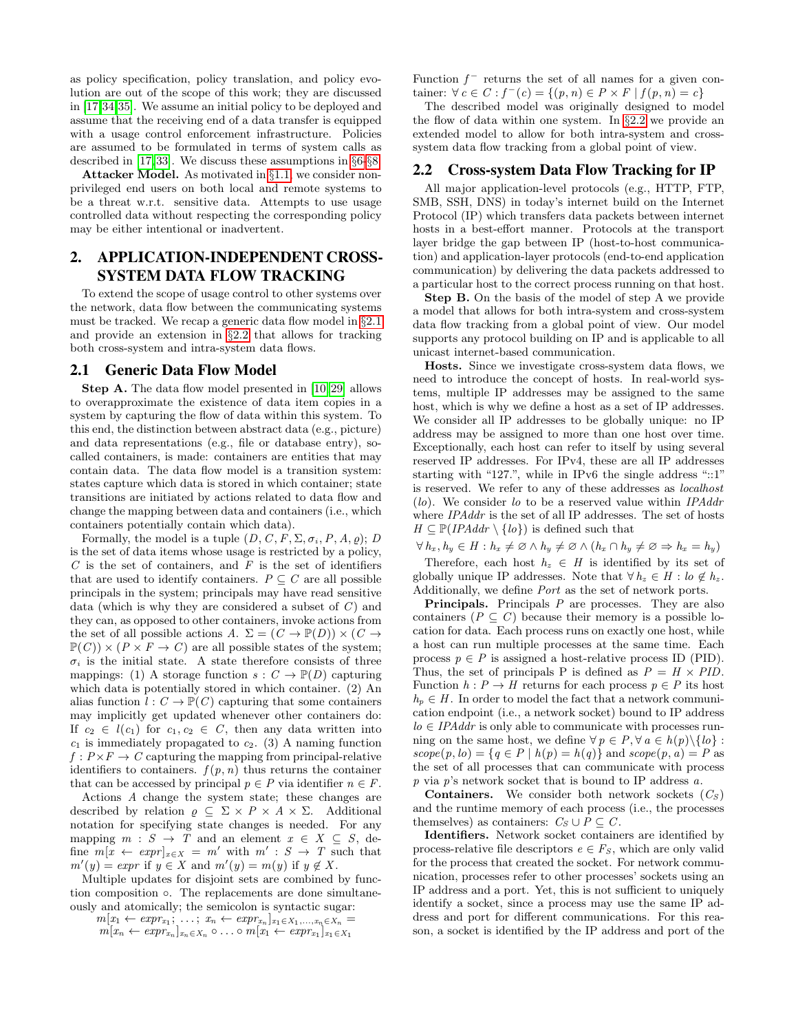as policy specification, policy translation, and policy evolution are out of the scope of this work; they are discussed in [\[17](#page-11-4)[,34,](#page-11-5)[35\]](#page-11-12). We assume an initial policy to be deployed and assume that the receiving end of a data transfer is equipped with a usage control enforcement infrastructure. Policies are assumed to be formulated in terms of system calls as described in [\[17,](#page-11-4)[33\]](#page-11-8). We discuss these assumptions in §[6-](#page-6-0)§[8.](#page-9-1)

Attacker Model. As motivated in §[1.1,](#page-0-0) we consider nonprivileged end users on both local and remote systems to be a threat w.r.t. sensitive data. Attempts to use usage controlled data without respecting the corresponding policy may be either intentional or inadvertent.

# <span id="page-2-2"></span>2. APPLICATION-INDEPENDENT CROSS-SYSTEM DATA FLOW TRACKING

To extend the scope of usage control to other systems over the network, data flow between the communicating systems must be tracked. We recap a generic data flow model in §[2.1](#page-2-0) and provide an extension in §[2.2](#page-2-1) that allows for tracking both cross-system and intra-system data flows.

#### <span id="page-2-0"></span>2.1 Generic Data Flow Model

Step A. The data flow model presented in [\[10,](#page-10-1) [29\]](#page-11-7) allows to overapproximate the existence of data item copies in a system by capturing the flow of data within this system. To this end, the distinction between abstract data (e.g., picture) and data representations (e.g., file or database entry), socalled containers, is made: containers are entities that may contain data. The data flow model is a transition system: states capture which data is stored in which container; state transitions are initiated by actions related to data flow and change the mapping between data and containers (i.e., which containers potentially contain which data).

Formally, the model is a tuple  $(D, C, F, \Sigma, \sigma_i, P, A, \varrho); D$ is the set of data items whose usage is restricted by a policy,  $C$  is the set of containers, and  $F$  is the set of identifiers that are used to identify containers.  $P \subseteq C$  are all possible principals in the system; principals may have read sensitive data (which is why they are considered a subset of  $C$ ) and they can, as opposed to other containers, invoke actions from the set of all possible actions A.  $\Sigma = (C \to \mathbb{P}(D)) \times (C \to$  $\mathbb{P}(C)$ )  $\times$  ( $P \times F \to C$ ) are all possible states of the system;  $\sigma_i$  is the initial state. A state therefore consists of three mappings: (1) A storage function  $s: C \to \mathbb{P}(D)$  capturing which data is potentially stored in which container. (2) An alias function  $l: C \to \mathbb{P}(C)$  capturing that some containers may implicitly get updated whenever other containers do: If  $c_2 \in l(c_1)$  for  $c_1, c_2 \in C$ , then any data written into  $c_1$  is immediately propagated to  $c_2$ . (3) A naming function  $f: P \times F \to C$  capturing the mapping from principal-relative identifiers to containers.  $f(p, n)$  thus returns the container that can be accessed by principal  $p \in P$  via identifier  $n \in F$ .

Actions A change the system state; these changes are described by relation  $\rho \subseteq \Sigma \times P \times A \times \Sigma$ . Additional notation for specifying state changes is needed. For any mapping  $m : S \rightarrow T$  and an element  $x \in X \subseteq S$ , define  $m[x \leftarrow expr]_{x \in X} = m'$  with  $m' : S \rightarrow T$  such that  $m'(y) = expr$  if  $y \in X$  and  $m'(y) = m(y)$  if  $y \notin X$ .

Multiple updates for disjoint sets are combined by function composition ◦. The replacements are done simultaneously and atomically; the semicolon is syntactic sugar:

$$
m[x_1 \leftarrow expr_{x_1}; \ldots; x_n \leftarrow expr_{x_n}]_{x_1 \in X_1, \ldots, x_n \in X_n} =
$$

$$
m[x_n \leftarrow expr_{x_n}]_{x_n \in X_n} \circ \ldots \circ m[x_1 \leftarrow expr_{x_1}]_{x_1 \in X_1}
$$

Function  $f^-$  returns the set of all names for a given container:  $\forall c \in C : f^{-}(c) = \{(p, n) \in P \times F \mid f(p, n) = c\}$ 

The described model was originally designed to model the flow of data within one system. In §[2.2](#page-2-1) we provide an extended model to allow for both intra-system and crosssystem data flow tracking from a global point of view.

#### <span id="page-2-1"></span>2.2 Cross-system Data Flow Tracking for IP

All major application-level protocols (e.g., HTTP, FTP, SMB, SSH, DNS) in today's internet build on the Internet Protocol (IP) which transfers data packets between internet hosts in a best-effort manner. Protocols at the transport layer bridge the gap between IP (host-to-host communication) and application-layer protocols (end-to-end application communication) by delivering the data packets addressed to a particular host to the correct process running on that host.

Step B. On the basis of the model of step A we provide a model that allows for both intra-system and cross-system data flow tracking from a global point of view. Our model supports any protocol building on IP and is applicable to all unicast internet-based communication.

Hosts. Since we investigate cross-system data flows, we need to introduce the concept of hosts. In real-world systems, multiple IP addresses may be assigned to the same host, which is why we define a host as a set of IP addresses. We consider all IP addresses to be globally unique: no IP address may be assigned to more than one host over time. Exceptionally, each host can refer to itself by using several reserved IP addresses. For IPv4, these are all IP addresses starting with "127.", while in IPv6 the single address "::1" is reserved. We refer to any of these addresses as localhost  $(10)$ . We consider lo to be a reserved value within *IPAddr* where *IPAddr* is the set of all IP addresses. The set of hosts  $H \subseteq \mathbb{P}(IPAddr \setminus \{lo\})$  is defined such that

 $\forall h_x, h_y \in H : h_x \neq \emptyset \land h_y \neq \emptyset \land (h_x \cap h_y \neq \emptyset \Rightarrow h_x = h_y)$ 

Therefore, each host  $h_z \in H$  is identified by its set of globally unique IP addresses. Note that  $\forall h_z \in H : lo \notin h_z$ . Additionally, we define Port as the set of network ports.

**Principals.** Principals  $P$  are processes. They are also containers ( $P \subseteq C$ ) because their memory is a possible location for data. Each process runs on exactly one host, while a host can run multiple processes at the same time. Each process  $p \in P$  is assigned a host-relative process ID (PID). Thus, the set of principals P is defined as  $P = H \times PID$ . Function  $h: P \to H$  returns for each process  $p \in P$  its host  $h_n \in H$ . In order to model the fact that a network communication endpoint (i.e., a network socket) bound to IP address  $lo \in IPAddr$  is only able to communicate with processes running on the same host, we define  $\forall p \in P, \forall a \in h(p) \setminus \{lo\}$ :  $scope(p, lo) = \{q \in P \mid h(p) = h(q)\}\$  and  $scope(p, a) = P$  as the set of all processes that can communicate with process  $p$  via  $p$ 's network socket that is bound to IP address  $a$ .

**Containers.** We consider both network sockets  $(C_S)$ and the runtime memory of each process (i.e., the processes themselves) as containers:  $C_S \cup P \subset C$ .

Identifiers. Network socket containers are identified by process-relative file descriptors  $e \in F_S$ , which are only valid for the process that created the socket. For network communication, processes refer to other processes' sockets using an IP address and a port. Yet, this is not sufficient to uniquely identify a socket, since a process may use the same IP address and port for different communications. For this reason, a socket is identified by the IP address and port of the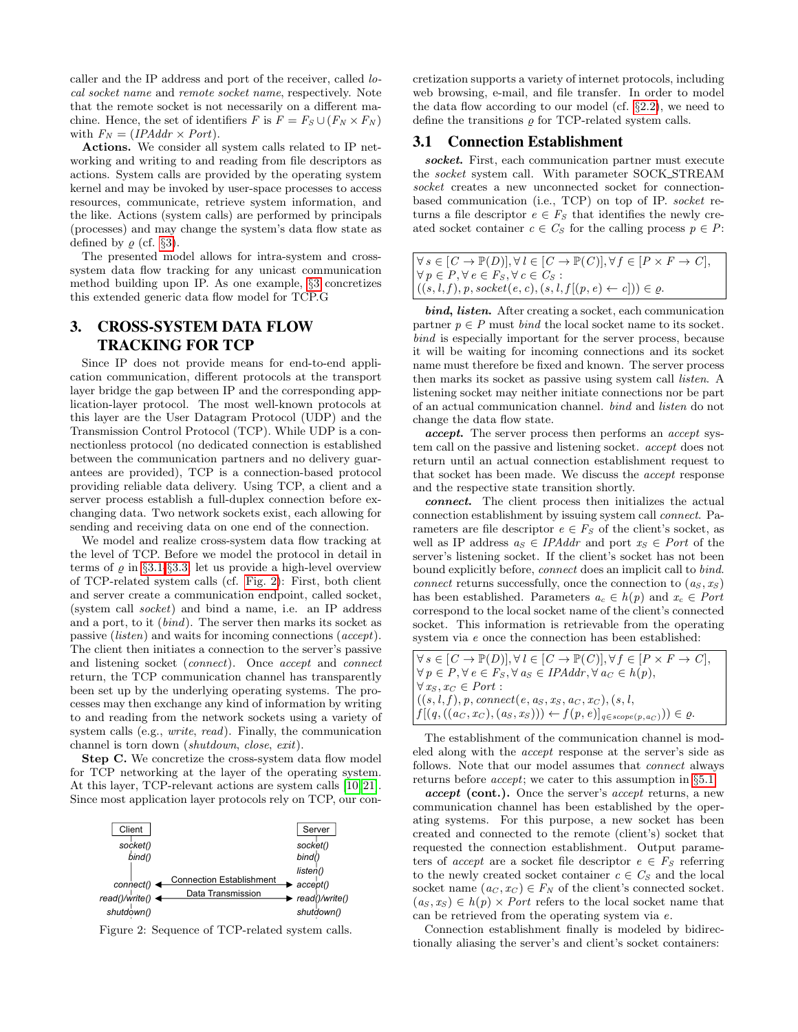caller and the IP address and port of the receiver, called local socket name and remote socket name, respectively. Note that the remote socket is not necessarily on a different machine. Hence, the set of identifiers F is  $F = F_S \cup (F_N \times F_N)$ with  $F_N = (IPAddr \times Port)$ .

Actions. We consider all system calls related to IP networking and writing to and reading from file descriptors as actions. System calls are provided by the operating system kernel and may be invoked by user-space processes to access resources, communicate, retrieve system information, and the like. Actions (system calls) are performed by principals (processes) and may change the system's data flow state as defined by  $\varrho$  (cf. §[3\)](#page-3-0).

The presented model allows for intra-system and crosssystem data flow tracking for any unicast communication method building upon IP. As one example, §[3](#page-3-0) concretizes this extended generic data flow model for TCP.G

## <span id="page-3-0"></span>3. CROSS-SYSTEM DATA FLOW TRACKING FOR TCP

Since IP does not provide means for end-to-end application communication, different protocols at the transport layer bridge the gap between IP and the corresponding application-layer protocol. The most well-known protocols at this layer are the User Datagram Protocol (UDP) and the Transmission Control Protocol (TCP). While UDP is a connectionless protocol (no dedicated connection is established between the communication partners and no delivery guarantees are provided), TCP is a connection-based protocol providing reliable data delivery. Using TCP, a client and a server process establish a full-duplex connection before exchanging data. Two network sockets exist, each allowing for sending and receiving data on one end of the connection.

We model and realize cross-system data flow tracking at the level of TCP. Before we model the protocol in detail in terms of  $\rho$  in §[3.1-](#page-3-1)§[3.3,](#page-4-1) let us provide a high-level overview of TCP-related system calls (cf. [Fig. 2\)](#page-3-2): First, both client and server create a communication endpoint, called socket, (system call socket) and bind a name, i.e. an IP address and a port, to it (bind). The server then marks its socket as passive (listen) and waits for incoming connections (accept). The client then initiates a connection to the server's passive and listening socket (connect). Once accept and connect return, the TCP communication channel has transparently been set up by the underlying operating systems. The processes may then exchange any kind of information by writing to and reading from the network sockets using a variety of system calls (e.g., write, read). Finally, the communication channel is torn down (shutdown, close, exit).

Step C. We concretize the cross-system data flow model for TCP networking at the layer of the operating system. At this layer, TCP-relevant actions are system calls [\[10,](#page-10-1) [21\]](#page-11-10). Since most application layer protocols rely on TCP, our con-

<span id="page-3-2"></span>

Figure 2: Sequence of TCP-related system calls.

cretization supports a variety of internet protocols, including web browsing, e-mail, and file transfer. In order to model the data flow according to our model (cf. §[2.2\)](#page-2-1), we need to define the transitions  $\rho$  for TCP-related system calls.

#### <span id="page-3-1"></span>3.1 Connection Establishment

socket. First, each communication partner must execute the socket system call. With parameter SOCK STREAM socket creates a new unconnected socket for connectionbased communication (i.e., TCP) on top of IP. socket returns a file descriptor  $e \in F_S$  that identifies the newly created socket container  $c \in C_S$  for the calling process  $p \in P$ :

| $\forall s \in [C \rightarrow \mathbb{P}(D)], \forall l \in [C \rightarrow \mathbb{P}(C)], \forall f \in [P \times F \rightarrow C],$ |
|---------------------------------------------------------------------------------------------------------------------------------------|
| $\forall p \in P, \forall e \in F_S, \forall c \in C_S:$                                                                              |
| $((s, l, f), p, socket(e, c), (s, l, f[(p, e) \leftarrow c])) \in \varrho.$                                                           |

bind, listen. After creating a socket, each communication partner  $p \in P$  must bind the local socket name to its socket. bind is especially important for the server process, because it will be waiting for incoming connections and its socket name must therefore be fixed and known. The server process then marks its socket as passive using system call listen. A listening socket may neither initiate connections nor be part of an actual communication channel. bind and listen do not change the data flow state.

**accept.** The server process then performs an *accept* system call on the passive and listening socket. accept does not return until an actual connection establishment request to that socket has been made. We discuss the accept response and the respective state transition shortly.

connect. The client process then initializes the actual connection establishment by issuing system call connect. Parameters are file descriptor  $e \in F_S$  of the client's socket, as well as IP address  $a_S \in \text{IPAddr}$  and port  $x_S \in \text{Port}$  of the server's listening socket. If the client's socket has not been bound explicitly before, connect does an implicit call to bind. connect returns successfully, once the connection to  $(a_S, x_S)$ has been established. Parameters  $a_c \in h(p)$  and  $x_c \in Port$ correspond to the local socket name of the client's connected socket. This information is retrievable from the operating system via e once the connection has been established:

| $\forall s \in [C \rightarrow \mathbb{P}(D)], \forall l \in [C \rightarrow \mathbb{P}(C)], \forall f \in [P \times F \rightarrow C],$ |
|---------------------------------------------------------------------------------------------------------------------------------------|
|                                                                                                                                       |
|                                                                                                                                       |
|                                                                                                                                       |
|                                                                                                                                       |
|                                                                                                                                       |

The establishment of the communication channel is modeled along with the accept response at the server's side as follows. Note that our model assumes that connect always returns before accept; we cater to this assumption in §[5.1.](#page-5-1)

**accept** (cont.). Once the server's accept returns, a new communication channel has been established by the operating systems. For this purpose, a new socket has been created and connected to the remote (client's) socket that requested the connection establishment. Output parameters of *accept* are a socket file descriptor  $e \in F_S$  referring to the newly created socket container  $c \in C_S$  and the local socket name  $(a_C, x_C) \in F_N$  of the client's connected socket.  $(a_S, x_S) \in h(p) \times Port$  refers to the local socket name that can be retrieved from the operating system via e.

Connection establishment finally is modeled by bidirectionally aliasing the server's and client's socket containers: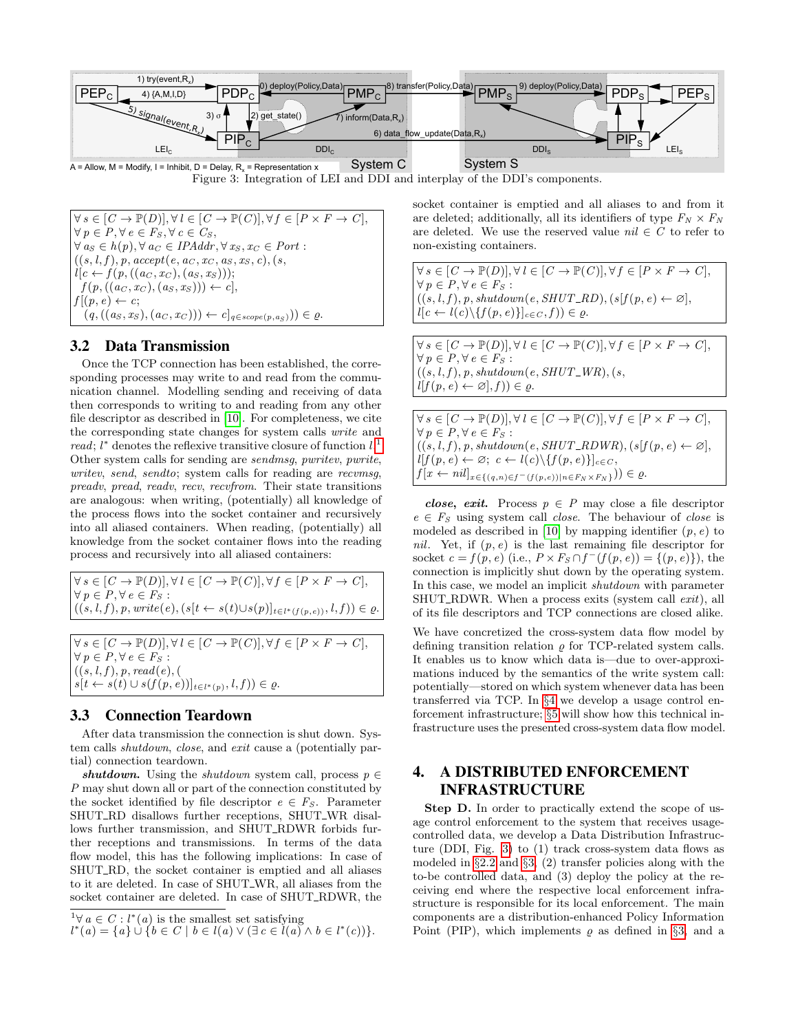<span id="page-4-3"></span>



 $\forall s \in [C \to \mathbb{P}(D)], \forall l \in [C \to \mathbb{P}(C)], \forall f \in [P \times F \to C],$  $\forall p \in P, \forall e \in F_S, \forall c \in C_S,$  $\forall a_S \in h(p), \forall a_C \in \text{IPAddr}, \forall x_S, x_C \in \text{Port}$ :  $((s, l, f), p, accept(e, a_C, x_C, a_S, x_S, c), (s,$  $l[c \leftarrow f(p, ((a_C, x_C), (a_S, x_S)))$ ;  $f(p,((a_C, x_C), (a_S, x_S))) \leftarrow c],$  $f[(p, e) \leftarrow c;$  $(q,((a_S, x_S), (a_C, x_C))) \leftarrow c|_{a \in scope(p, a_S)})) \in \varrho.$ 

#### <span id="page-4-4"></span>3.2 Data Transmission

Once the TCP connection has been established, the corresponding processes may write to and read from the communication channel. Modelling sending and receiving of data then corresponds to writing to and reading from any other file descriptor as described in [\[10\]](#page-10-1). For completeness, we cite the corresponding state changes for system calls write and read;  $l^*$  denotes the reflexive transitive closure of function  $l^{\,1}$  $l^{\,1}$  $l^{\,1}$ Other system calls for sending are sendmsg, pwritev, pwrite, writev, send, sendto; system calls for reading are recvmsg, preadv, pread, readv, recv, recvfrom. Their state transitions are analogous: when writing, (potentially) all knowledge of the process flows into the socket container and recursively into all aliased containers. When reading, (potentially) all knowledge from the socket container flows into the reading process and recursively into all aliased containers:

 $\forall s \in [C \to \mathbb{P}(D)], \forall l \in [C \to \mathbb{P}(C)], \forall f \in [P \times F \to C],$  $\forall p \in P, \forall e \in F_S:$  $((s, l, f), p, write(e), (s[t \leftarrow s(t) \cup s(p)]_{t \in l^*(f(p,e))}, l, f)) \in \varrho.$  $\forall s \in [C \to \mathbb{P}(D)], \forall l \in [C \to \mathbb{P}(C)], \forall f \in [P \times F \to C],$  $\forall p \in P, \forall e \in F_S:$  $((s, l, f), p, read(e), ($  $s[t \leftarrow s(t) \cup s(f(p, e))]_{t \in l^*(p)}, l, f) \in \varrho.$ 

## <span id="page-4-1"></span>3.3 Connection Teardown

After data transmission the connection is shut down. System calls shutdown, close, and exit cause a (potentially partial) connection teardown.

shutdown. Using the shutdown system call, process  $p \in$ P may shut down all or part of the connection constituted by the socket identified by file descriptor  $e \in F_S$ . Parameter SHUT RD disallows further receptions, SHUT WR disallows further transmission, and SHUT RDWR forbids further receptions and transmissions. In terms of the data flow model, this has the following implications: In case of SHUT RD, the socket container is emptied and all aliases to it are deleted. In case of SHUT WR, all aliases from the socket container are deleted. In case of SHUT\_RDWR, the socket container is emptied and all aliases to and from it are deleted; additionally, all its identifiers of type  $F_N \times F_N$ are deleted. We use the reserved value  $nil \in C$  to refer to non-existing containers.

 $\forall \, s \in [C \to \mathbb{P}(D)], \forall \, l \in [C \to \mathbb{P}(C)], \forall f \in [P \times F \to C],$  $\forall p \in P, \forall e \in F_S:$  $((s, l, f), p, shutdown(e, SHUT_RD), (s[f(p, e), \infty]),$  $l[c \leftarrow l(c) \setminus \{f(p, e)\}\]_{c \in C}, f) \in \varrho.$ 

 $\forall s \in [C \to \mathbb{P}(D)], \forall l \in [C \to \mathbb{P}(C)], \forall f \in [P \times F \to C],$  $\forall p \in P, \forall e \in F_S:$  $((s, l, f), p, shutdown(e, SHUT_WR)), (s,$  $l[f(p, e) \leftarrow \varnothing], f) \in \varrho.$ 

 $\forall s \in [C \to \mathbb{P}(D)], \forall l \in [C \to \mathbb{P}(C)], \forall f \in [P \times F \to C],$  $\forall p \in P, \forall e \in F_S$ :  $((s, l, f), p, shutdown(e, SHUT\_RDWR), (s[f(p, e) \leftarrow \emptyset],$  $l[f(p, e) \leftarrow \emptyset; c \leftarrow l(c) \setminus \{f(p, e)\}\}_{c \in C},$  $f[x \leftarrow nil]_{x \in \{(q,n)\in f^-(f(p,e)) | n \in F_N \times F_N\}}) \in \varrho.$ 

close, exit. Process  $p \in P$  may close a file descriptor  $e \in F_S$  using system call *close*. The behaviour of *close* is modeled as described in [\[10\]](#page-10-1) by mapping identifier  $(p, e)$  to nil. Yet, if  $(p, e)$  is the last remaining file descriptor for socket  $c = f(p, e)$  (i.e.,  $P \times F_S \cap f^-(f(p, e)) = \{(p, e)\}\)$ , the connection is implicitly shut down by the operating system. In this case, we model an implicit shutdown with parameter SHUT\_RDWR. When a process exits (system call *exit*), all of its file descriptors and TCP connections are closed alike.

We have concretized the cross-system data flow model by defining transition relation  $\rho$  for TCP-related system calls. It enables us to know which data is—due to over-approximations induced by the semantics of the write system call: potentially—stored on which system whenever data has been transferred via TCP. In §[4](#page-4-0) we develop a usage control enforcement infrastructure; §[5](#page-5-0) will show how this technical infrastructure uses the presented cross-system data flow model.

# <span id="page-4-0"></span>4. A DISTRIBUTED ENFORCEMENT INFRASTRUCTURE

Step D. In order to practically extend the scope of usage control enforcement to the system that receives usagecontrolled data, we develop a Data Distribution Infrastructure (DDI, Fig. [3\)](#page-4-3) to (1) track cross-system data flows as modeled in  $\S 2.2$  $\S 2.2$  and  $\S 3$ ,  $(2)$  transfer policies along with the to-be controlled data, and (3) deploy the policy at the receiving end where the respective local enforcement infrastructure is responsible for its local enforcement. The main components are a distribution-enhanced Policy Information Point (PIP), which implements  $\rho$  as defined in §[3,](#page-3-0) and a

<span id="page-4-2"></span><sup>&</sup>lt;sup>1</sup>∀  $a \in C: l^*(a)$  is the smallest set satisfying

 $l^*(a) = \{a\} \cup \{b \in C \mid b \in l(a) \vee (\exists c \in \check{l}(a) \land b \in l^*(c))\}.$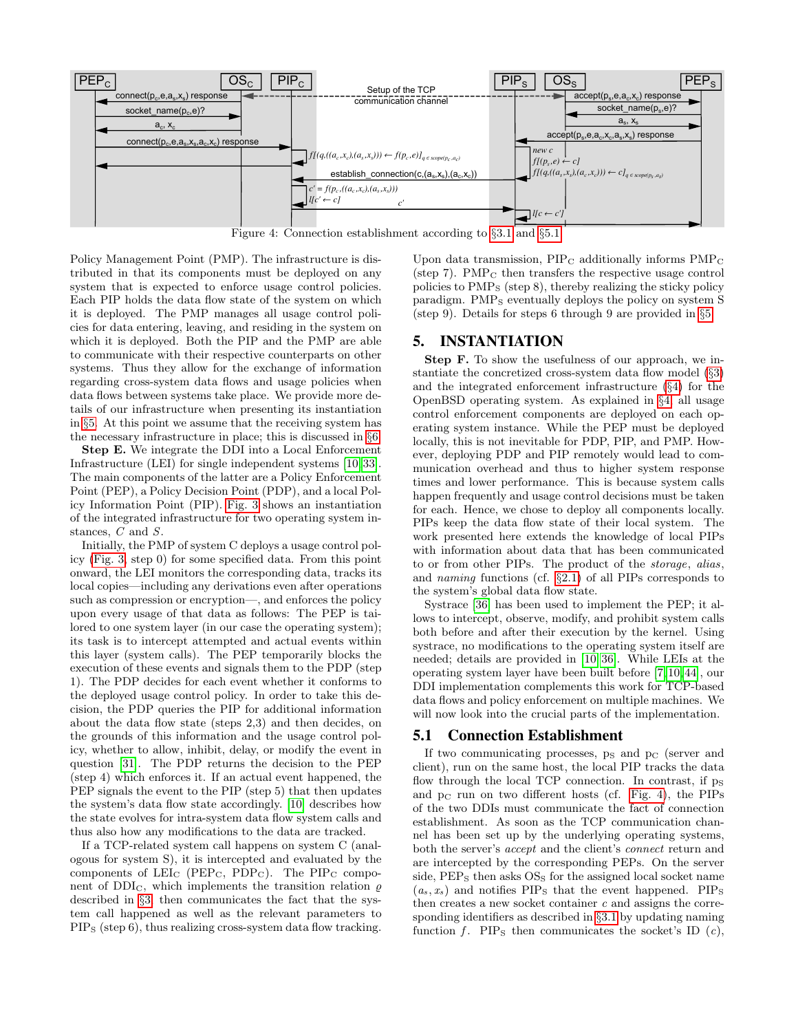<span id="page-5-2"></span>

Figure 4: Connection establishment according to §[3.1](#page-3-1) and §[5.1.](#page-5-1)

Policy Management Point (PMP). The infrastructure is distributed in that its components must be deployed on any system that is expected to enforce usage control policies. Each PIP holds the data flow state of the system on which it is deployed. The PMP manages all usage control policies for data entering, leaving, and residing in the system on which it is deployed. Both the PIP and the PMP are able to communicate with their respective counterparts on other systems. Thus they allow for the exchange of information regarding cross-system data flows and usage policies when data flows between systems take place. We provide more details of our infrastructure when presenting its instantiation in §[5.](#page-5-0) At this point we assume that the receiving system has the necessary infrastructure in place; this is discussed in §[6.](#page-6-0)

Step E. We integrate the DDI into a Local Enforcement Infrastructure (LEI) for single independent systems [\[10,](#page-10-1) [33\]](#page-11-8). The main components of the latter are a Policy Enforcement Point (PEP), a Policy Decision Point (PDP), and a local Policy Information Point (PIP). [Fig. 3](#page-4-3) shows an instantiation of the integrated infrastructure for two operating system instances, C and S.

Initially, the PMP of system C deploys a usage control policy [\(Fig. 3,](#page-4-3) step 0) for some specified data. From this point onward, the LEI monitors the corresponding data, tracks its local copies—including any derivations even after operations such as compression or encryption—, and enforces the policy upon every usage of that data as follows: The PEP is tailored to one system layer (in our case the operating system); its task is to intercept attempted and actual events within this layer (system calls). The PEP temporarily blocks the execution of these events and signals them to the PDP (step 1). The PDP decides for each event whether it conforms to the deployed usage control policy. In order to take this decision, the PDP queries the PIP for additional information about the data flow state (steps 2,3) and then decides, on the grounds of this information and the usage control policy, whether to allow, inhibit, delay, or modify the event in question [\[31\]](#page-11-13). The PDP returns the decision to the PEP (step 4) which enforces it. If an actual event happened, the PEP signals the event to the PIP (step 5) that then updates the system's data flow state accordingly. [\[10\]](#page-10-1) describes how the state evolves for intra-system data flow system calls and thus also how any modifications to the data are tracked.

If a TCP-related system call happens on system C (analogous for system S), it is intercepted and evaluated by the components of  $LEI_{C}$  (PEP<sub>C</sub>, PDP<sub>C</sub>). The PIP<sub>C</sub> component of DDI<sub>C</sub>, which implements the transition relation  $\rho$ described in §[3,](#page-3-0) then communicates the fact that the system call happened as well as the relevant parameters to PIP<sup>S</sup> (step 6), thus realizing cross-system data flow tracking.

Upon data transmission,  $PIP_C$  additionally informs  $PMP_C$ (step 7).  $PMP_C$  then transfers the respective usage control policies to PMP<sup>S</sup> (step 8), thereby realizing the sticky policy paradigm. PMP<sup>S</sup> eventually deploys the policy on system S (step 9). Details for steps 6 through 9 are provided in §[5.](#page-5-0)

#### <span id="page-5-0"></span>5. INSTANTIATION

Step F. To show the usefulness of our approach, we instantiate the concretized cross-system data flow model (§[3\)](#page-3-0) and the integrated enforcement infrastructure (§[4\)](#page-4-0) for the OpenBSD operating system. As explained in §[4,](#page-4-0) all usage control enforcement components are deployed on each operating system instance. While the PEP must be deployed locally, this is not inevitable for PDP, PIP, and PMP. However, deploying PDP and PIP remotely would lead to communication overhead and thus to higher system response times and lower performance. This is because system calls happen frequently and usage control decisions must be taken for each. Hence, we chose to deploy all components locally. PIPs keep the data flow state of their local system. The work presented here extends the knowledge of local PIPs with information about data that has been communicated to or from other PIPs. The product of the storage, alias, and naming functions (cf. §[2.1\)](#page-2-0) of all PIPs corresponds to the system's global data flow state.

Systrace [\[36\]](#page-11-14) has been used to implement the PEP; it allows to intercept, observe, modify, and prohibit system calls both before and after their execution by the kernel. Using systrace, no modifications to the operating system itself are needed; details are provided in [\[10,](#page-10-1) [36\]](#page-11-14). While LEIs at the operating system layer have been built before [\[7,](#page-10-4) [10,](#page-10-1) [44\]](#page-11-11), our DDI implementation complements this work for TCP-based data flows and policy enforcement on multiple machines. We will now look into the crucial parts of the implementation.

#### <span id="page-5-1"></span>5.1 Connection Establishment

If two communicating processes,  $p_S$  and  $p_C$  (server and client), run on the same host, the local PIP tracks the data flow through the local TCP connection. In contrast, if  $p_S$ and  $p_C$  run on two different hosts (cf. [Fig. 4\)](#page-5-2), the PIPs of the two DDIs must communicate the fact of connection establishment. As soon as the TCP communication channel has been set up by the underlying operating systems, both the server's accept and the client's connect return and are intercepted by the corresponding PEPs. On the server side,  $PEP<sub>S</sub>$  then asks  $OS<sub>S</sub>$  for the assigned local socket name  $(a_s, x_s)$  and notifies PIP<sub>S</sub> that the event happened. PIP<sub>S</sub> then creates a new socket container  $c$  and assigns the corresponding identifiers as described in §[3.1](#page-3-1) by updating naming function f. PIPs then communicates the socket's ID  $(c)$ ,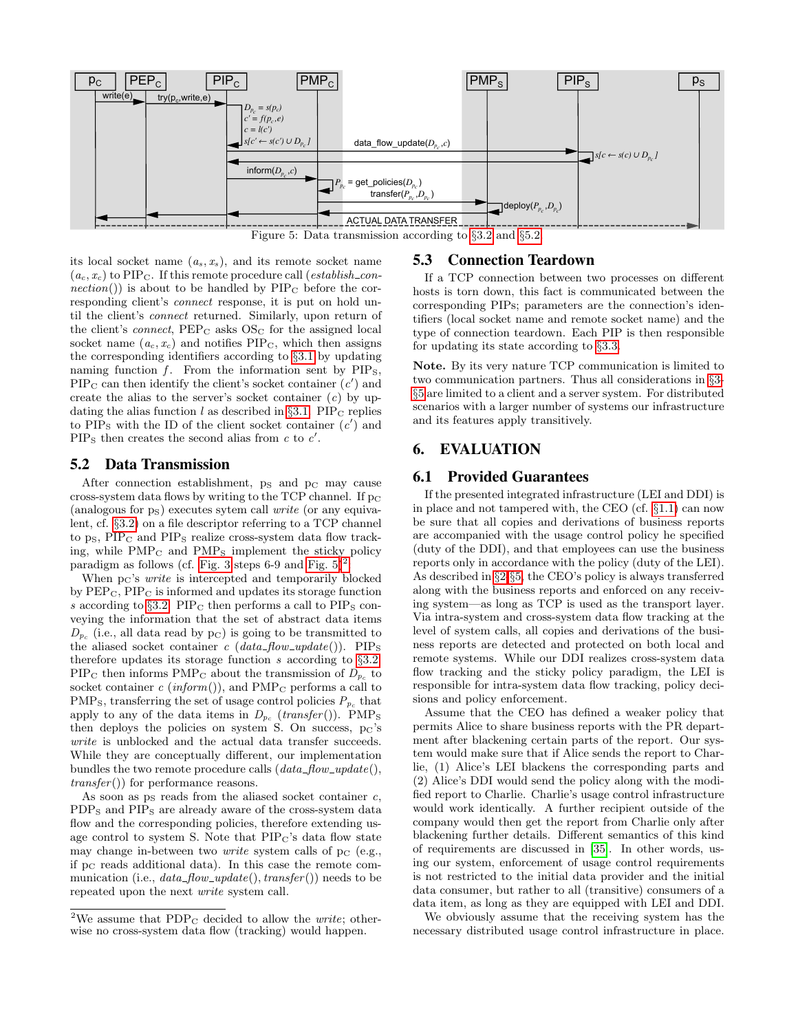<span id="page-6-2"></span>

Figure 5: Data transmission according to §[3.2](#page-4-4) and §[5.2.](#page-6-1)

its local socket name  $(a_s, x_s)$ , and its remote socket name  $(a_c, x_c)$  to PIP<sub>C</sub>. If this remote procedure call (*establish\_con* $nection()$  is about to be handled by  $\text{PIP}_C$  before the corresponding client's connect response, it is put on hold until the client's connect returned. Similarly, upon return of the client's *connect*,  $PEP_C$  asks  $OS_C$  for the assigned local socket name  $(a_c, x_c)$  and notifies PIP<sub>C</sub>, which then assigns the corresponding identifiers according to §[3.1](#page-3-1) by updating naming function  $f$ . From the information sent by  $PIP<sub>S</sub>$ , PIP<sub>C</sub> can then identify the client's socket container  $(c')$  and create the alias to the server's socket container  $(c)$  by updating the alias function l as described in  $\S 3.1$ . PIP<sub>C</sub> replies to  $PIP<sub>S</sub>$  with the ID of the client socket container  $(c')$  and PIP<sub>S</sub> then creates the second alias from  $c$  to  $c'$ .

## <span id="page-6-1"></span>5.2 Data Transmission

After connection establishment,  $p_S$  and  $p_C$  may cause cross-system data flows by writing to the TCP channel. If  $p_C$ (analogous for  $p<sub>S</sub>$ ) executes sytem call write (or any equivalent, cf. §[3.2\)](#page-4-4) on a file descriptor referring to a TCP channel to ps, PIP<sub>C</sub> and PIP<sub>S</sub> realize cross-system data flow tracking, while PMP<sup>C</sup> and PMP<sup>S</sup> implement the sticky policy paradigm as follows (cf. [Fig. 3](#page-4-3) steps 6-9 and Fig.  $5)^2$  $5)^2$ :

When  $p<sub>C</sub>$ 's *write* is intercepted and temporarily blocked by  $PEP_C$ ,  $PIP_C$  is informed and updates its storage function s according to  $\S 3.2$ . PIP<sub>C</sub> then performs a call to PIP<sub>S</sub> conveying the information that the set of abstract data items  $D_{p_c}$  (i.e., all data read by pc) is going to be transmitted to the aliased socket container c  $(data_flow\_update()$ . PIP<sub>S</sub> therefore updates its storage function  $s$  according to  $\S 3.2$ . PIP<sub>C</sub> then informs PMP<sub>C</sub> about the transmission of  $D_{p_c}$  to socket container  $c \, (inform())$ , and PMP<sub>C</sub> performs a call to  $PMP_S$ , transferring the set of usage control policies  $P_{p_c}$  that apply to any of the data items in  $D_{p_c}$  (*transfer*()). PMP<sub>S</sub> then deploys the policies on system S. On success,  $p<sub>C</sub>$ 's write is unblocked and the actual data transfer succeeds. While they are conceptually different, our implementation bundles the two remote procedure calls  $(data_flow\_update),$  $transfer()$  for performance reasons.

As soon as  $p<sub>S</sub>$  reads from the aliased socket container  $c$ , PDP<sup>S</sup> and PIP<sup>S</sup> are already aware of the cross-system data flow and the corresponding policies, therefore extending usage control to system S. Note that  $PIP<sub>C</sub>$ 's data flow state may change in-between two *write* system calls of  $p_C$  (e.g., if  $p<sub>C</sub>$  reads additional data). In this case the remote communication (i.e.,  $data\_flow\_update()$ ,  $transfer()$ ) needs to be repeated upon the next write system call.

#### 5.3 Connection Teardown

If a TCP connection between two processes on different hosts is torn down, this fact is communicated between the corresponding PIPs; parameters are the connection's identifiers (local socket name and remote socket name) and the type of connection teardown. Each PIP is then responsible for updating its state according to §[3.3.](#page-4-1)

Note. By its very nature TCP communication is limited to two communication partners. Thus all considerations in §[3-](#page-3-0) §[5](#page-5-0) are limited to a client and a server system. For distributed scenarios with a larger number of systems our infrastructure and its features apply transitively.

# <span id="page-6-0"></span>6. EVALUATION

## 6.1 Provided Guarantees

If the presented integrated infrastructure (LEI and DDI) is in place and not tampered with, the CEO (cf. §[1.1\)](#page-0-0) can now be sure that all copies and derivations of business reports are accompanied with the usage control policy he specified (duty of the DDI), and that employees can use the business reports only in accordance with the policy (duty of the LEI). As described in §[2-](#page-2-2)§[5,](#page-5-0) the CEO's policy is always transferred along with the business reports and enforced on any receiving system—as long as TCP is used as the transport layer. Via intra-system and cross-system data flow tracking at the level of system calls, all copies and derivations of the business reports are detected and protected on both local and remote systems. While our DDI realizes cross-system data flow tracking and the sticky policy paradigm, the LEI is responsible for intra-system data flow tracking, policy decisions and policy enforcement.

Assume that the CEO has defined a weaker policy that permits Alice to share business reports with the PR department after blackening certain parts of the report. Our system would make sure that if Alice sends the report to Charlie, (1) Alice's LEI blackens the corresponding parts and (2) Alice's DDI would send the policy along with the modified report to Charlie. Charlie's usage control infrastructure would work identically. A further recipient outside of the company would then get the report from Charlie only after blackening further details. Different semantics of this kind of requirements are discussed in [\[35\]](#page-11-12). In other words, using our system, enforcement of usage control requirements is not restricted to the initial data provider and the initial data consumer, but rather to all (transitive) consumers of a data item, as long as they are equipped with LEI and DDI.

We obviously assume that the receiving system has the necessary distributed usage control infrastructure in place.

<span id="page-6-3"></span><sup>&</sup>lt;sup>2</sup>We assume that PDP<sub>C</sub> decided to allow the *write*; otherwise no cross-system data flow (tracking) would happen.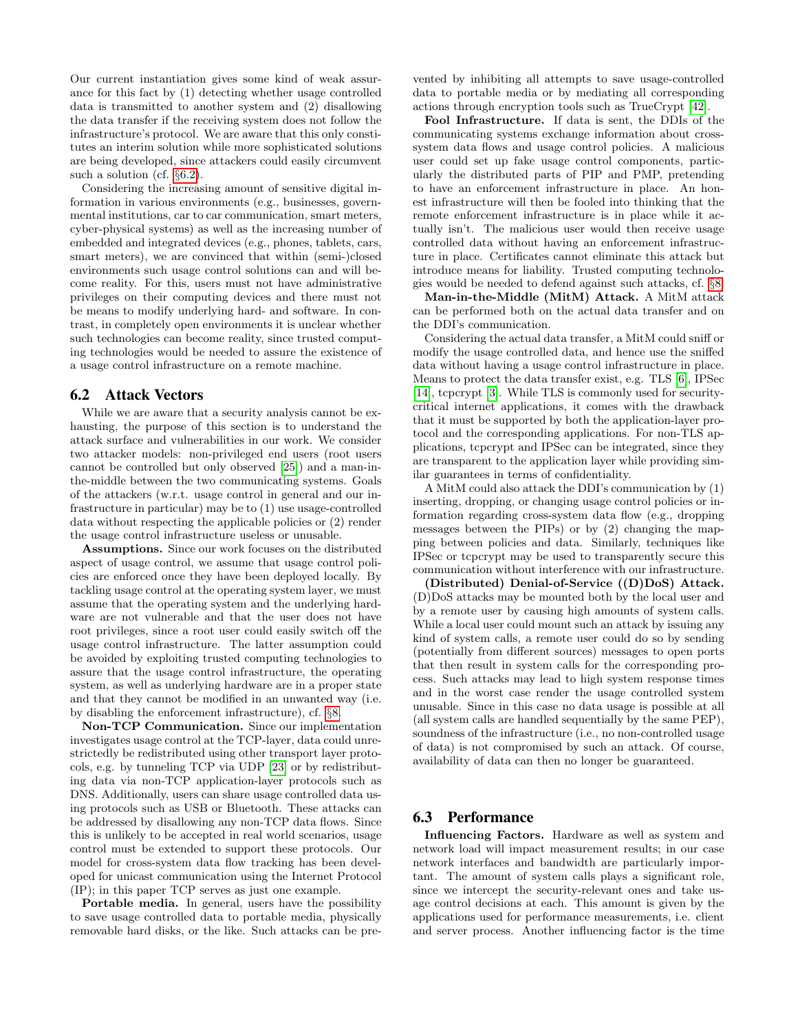Our current instantiation gives some kind of weak assurance for this fact by (1) detecting whether usage controlled data is transmitted to another system and (2) disallowing the data transfer if the receiving system does not follow the infrastructure's protocol. We are aware that this only constitutes an interim solution while more sophisticated solutions are being developed, since attackers could easily circumvent such a solution (cf. §[6.2\)](#page-7-0).

Considering the increasing amount of sensitive digital information in various environments (e.g., businesses, governmental institutions, car to car communication, smart meters, cyber-physical systems) as well as the increasing number of embedded and integrated devices (e.g., phones, tablets, cars, smart meters), we are convinced that within (semi-)closed environments such usage control solutions can and will become reality. For this, users must not have administrative privileges on their computing devices and there must not be means to modify underlying hard- and software. In contrast, in completely open environments it is unclear whether such technologies can become reality, since trusted computing technologies would be needed to assure the existence of a usage control infrastructure on a remote machine.

#### <span id="page-7-0"></span>6.2 Attack Vectors

While we are aware that a security analysis cannot be exhausting, the purpose of this section is to understand the attack surface and vulnerabilities in our work. We consider two attacker models: non-privileged end users (root users cannot be controlled but only observed [\[25\]](#page-11-15)) and a man-inthe-middle between the two communicating systems. Goals of the attackers (w.r.t. usage control in general and our infrastructure in particular) may be to (1) use usage-controlled data without respecting the applicable policies or (2) render the usage control infrastructure useless or unusable.

Assumptions. Since our work focuses on the distributed aspect of usage control, we assume that usage control policies are enforced once they have been deployed locally. By tackling usage control at the operating system layer, we must assume that the operating system and the underlying hardware are not vulnerable and that the user does not have root privileges, since a root user could easily switch off the usage control infrastructure. The latter assumption could be avoided by exploiting trusted computing technologies to assure that the usage control infrastructure, the operating system, as well as underlying hardware are in a proper state and that they cannot be modified in an unwanted way (i.e. by disabling the enforcement infrastructure), cf. §[8.](#page-9-1)

Non-TCP Communication. Since our implementation investigates usage control at the TCP-layer, data could unrestrictedly be redistributed using other transport layer protocols, e.g. by tunneling TCP via UDP [\[23\]](#page-11-16) or by redistributing data via non-TCP application-layer protocols such as DNS. Additionally, users can share usage controlled data using protocols such as USB or Bluetooth. These attacks can be addressed by disallowing any non-TCP data flows. Since this is unlikely to be accepted in real world scenarios, usage control must be extended to support these protocols. Our model for cross-system data flow tracking has been developed for unicast communication using the Internet Protocol (IP); in this paper TCP serves as just one example.

Portable media. In general, users have the possibility to save usage controlled data to portable media, physically removable hard disks, or the like. Such attacks can be prevented by inhibiting all attempts to save usage-controlled data to portable media or by mediating all corresponding actions through encryption tools such as TrueCrypt [\[42\]](#page-11-17).

Fool Infrastructure. If data is sent, the DDIs of the communicating systems exchange information about crosssystem data flows and usage control policies. A malicious user could set up fake usage control components, particularly the distributed parts of PIP and PMP, pretending to have an enforcement infrastructure in place. An honest infrastructure will then be fooled into thinking that the remote enforcement infrastructure is in place while it actually isn't. The malicious user would then receive usage controlled data without having an enforcement infrastructure in place. Certificates cannot eliminate this attack but introduce means for liability. Trusted computing technologies would be needed to defend against such attacks, cf. §[8.](#page-9-1)

Man-in-the-Middle (MitM) Attack. A MitM attack can be performed both on the actual data transfer and on the DDI's communication.

Considering the actual data transfer, a MitM could sniff or modify the usage controlled data, and hence use the sniffed data without having a usage control infrastructure in place. Means to protect the data transfer exist, e.g. TLS [\[6\]](#page-10-7), IPSec [\[14\]](#page-11-18), tcpcrypt [\[3\]](#page-10-8). While TLS is commonly used for securitycritical internet applications, it comes with the drawback that it must be supported by both the application-layer protocol and the corresponding applications. For non-TLS applications, tcpcrypt and IPSec can be integrated, since they are transparent to the application layer while providing similar guarantees in terms of confidentiality.

A MitM could also attack the DDI's communication by (1) inserting, dropping, or changing usage control policies or information regarding cross-system data flow (e.g., dropping messages between the PIPs) or by (2) changing the mapping between policies and data. Similarly, techniques like IPSec or tcpcrypt may be used to transparently secure this communication without interference with our infrastructure.

(Distributed) Denial-of-Service ((D)DoS) Attack. (D)DoS attacks may be mounted both by the local user and by a remote user by causing high amounts of system calls. While a local user could mount such an attack by issuing any kind of system calls, a remote user could do so by sending (potentially from different sources) messages to open ports that then result in system calls for the corresponding process. Such attacks may lead to high system response times and in the worst case render the usage controlled system unusable. Since in this case no data usage is possible at all (all system calls are handled sequentially by the same PEP), soundness of the infrastructure (i.e., no non-controlled usage of data) is not compromised by such an attack. Of course, availability of data can then no longer be guaranteed.

## 6.3 Performance

Influencing Factors. Hardware as well as system and network load will impact measurement results; in our case network interfaces and bandwidth are particularly important. The amount of system calls plays a significant role, since we intercept the security-relevant ones and take usage control decisions at each. This amount is given by the applications used for performance measurements, i.e. client and server process. Another influencing factor is the time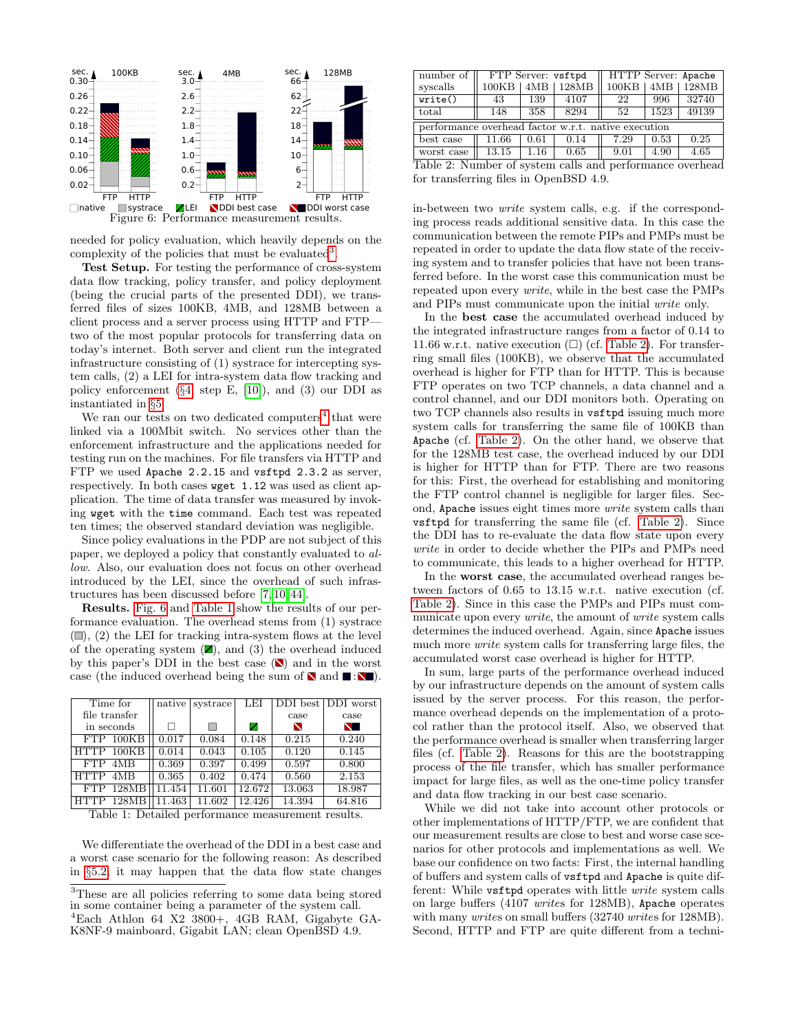<span id="page-8-2"></span>

needed for policy evaluation, which heavily depends on the complexity of the policies that must be evaluated<sup>[3](#page-8-0)</sup>.

Test Setup. For testing the performance of cross-system data flow tracking, policy transfer, and policy deployment (being the crucial parts of the presented DDI), we transferred files of sizes 100KB, 4MB, and 128MB between a client process and a server process using HTTP and FTP two of the most popular protocols for transferring data on today's internet. Both server and client run the integrated infrastructure consisting of (1) systrace for intercepting system calls, (2) a LEI for intra-system data flow tracking and policy enforcement  $(\S4, \text{step E}, [10])$  $(\S4, \text{step E}, [10])$  $(\S4, \text{step E}, [10])$  $(\S4, \text{step E}, [10])$  $(\S4, \text{step E}, [10])$ , and  $(3)$  our DDI as instantiated in §[5.](#page-5-0)

We ran our tests on two dedicated computers<sup>[4](#page-8-1)</sup> that were linked via a 100Mbit switch. No services other than the enforcement infrastructure and the applications needed for testing run on the machines. For file transfers via HTTP and FTP we used Apache 2.2.15 and vsftpd 2.3.2 as server, respectively. In both cases wget 1.12 was used as client application. The time of data transfer was measured by invoking wget with the time command. Each test was repeated ten times; the observed standard deviation was negligible.

Since policy evaluations in the PDP are not subject of this paper, we deployed a policy that constantly evaluated to allow. Also, our evaluation does not focus on other overhead introduced by the LEI, since the overhead of such infrastructures has been discussed before [\[7,](#page-10-4) [10,](#page-10-1) [44\]](#page-11-11).

Results. [Fig. 6](#page-8-2) and [Table 1](#page-8-3) show the results of our performance evaluation. The overhead stems from (1) systrace  $(\blacksquare)$ , (2) the LEI for tracking intra-system flows at the level of the operating system  $(\blacksquare)$ , and (3) the overhead induced by this paper's DDI in the best case  $(\blacksquare)$  and in the worst case (the induced overhead being the sum of  $\blacksquare$  and  $\blacksquare$ : $\blacksquare$ ).

<span id="page-8-3"></span>

| Time for                                  | native | systrace | LEI    |        | DDI best DDI worst |
|-------------------------------------------|--------|----------|--------|--------|--------------------|
| file transfer                             |        |          |        | case   | case               |
| in seconds                                | П      | I.       | Z      |        | N                  |
| $100\overline{\mathrm{KB}}$<br><b>FTP</b> | 0.017  | 0.084    | 0.148  | 0.215  | 0.240              |
| <b>HTTP</b><br>100KB                      | 0.014  | 0.043    | 0.105  | 0.120  | 0.145              |
| 4MB<br><b>FTP</b>                         | 0.369  | 0.397    | 0.499  | 0.597  | 0.800              |
| 4MB<br><b>HTTP</b>                        | 0.365  | 0.402    | 0.474  | 0.560  | 2.153              |
| 128MB<br>FTP                              | 11.454 | 11.601   | 12.672 | 13.063 | 18.987             |
| 128MB<br><b>HTTP</b>                      | 11.463 | 11.602   | 12.426 | 14.394 | 64.816             |

Table 1: Detailed performance measurement results.

We differentiate the overhead of the DDI in a best case and a worst case scenario for the following reason: As described in §[5.2,](#page-6-1) it may happen that the data flow state changes

<span id="page-8-4"></span>

| number of                                                | FTP Server: vsftpd |      |       | HTTP Server: Apache |      |             |  |  |
|----------------------------------------------------------|--------------------|------|-------|---------------------|------|-------------|--|--|
| syscalls                                                 | 100KB              | 4MB  | 128MB | 100KB               |      | 4MB   128MB |  |  |
| write()                                                  | 43                 | 139  | 4107  | 22                  | 996  | 32740       |  |  |
| total                                                    | 148                | 358  | 8294  | 52                  | 1523 | 49139       |  |  |
| performance overhead factor w.r.t. native execution      |                    |      |       |                     |      |             |  |  |
| best case                                                | 11.66              | 0.61 | 0.14  | 7.29                | 0.53 | 0.25        |  |  |
| worst case                                               | 13.15              | 1.16 | 0.65  | 9.01                | 4.90 | 4.65        |  |  |
| Table 2: Number of system calls and performance overhead |                    |      |       |                     |      |             |  |  |
| for transferring files in OpenBSD 4.9.                   |                    |      |       |                     |      |             |  |  |

in-between two write system calls, e.g. if the corresponding process reads additional sensitive data. In this case the communication between the remote PIPs and PMPs must be repeated in order to update the data flow state of the receiving system and to transfer policies that have not been transferred before. In the worst case this communication must be repeated upon every write, while in the best case the PMPs and PIPs must communicate upon the initial write only.

In the best case the accumulated overhead induced by the integrated infrastructure ranges from a factor of 0.14 to 11.66 w.r.t. native execution  $(\Box)$  (cf. [Table 2\)](#page-8-4). For transferring small files (100KB), we observe that the accumulated overhead is higher for FTP than for HTTP. This is because FTP operates on two TCP channels, a data channel and a control channel, and our DDI monitors both. Operating on two TCP channels also results in vsftpd issuing much more system calls for transferring the same file of 100KB than Apache (cf. [Table 2\)](#page-8-4). On the other hand, we observe that for the 128MB test case, the overhead induced by our DDI is higher for HTTP than for FTP. There are two reasons for this: First, the overhead for establishing and monitoring the FTP control channel is negligible for larger files. Second, Apache issues eight times more write system calls than vsftpd for transferring the same file (cf. [Table 2\)](#page-8-4). Since the DDI has to re-evaluate the data flow state upon every write in order to decide whether the PIPs and PMPs need to communicate, this leads to a higher overhead for HTTP.

In the worst case, the accumulated overhead ranges between factors of 0.65 to 13.15 w.r.t. native execution (cf. [Table 2\)](#page-8-4). Since in this case the PMPs and PIPs must communicate upon every *write*, the amount of *write* system calls determines the induced overhead. Again, since Apache issues much more write system calls for transferring large files, the accumulated worst case overhead is higher for HTTP.

In sum, large parts of the performance overhead induced by our infrastructure depends on the amount of system calls issued by the server process. For this reason, the performance overhead depends on the implementation of a protocol rather than the protocol itself. Also, we observed that the performance overhead is smaller when transferring larger files (cf. [Table 2\)](#page-8-4). Reasons for this are the bootstrapping process of the file transfer, which has smaller performance impact for large files, as well as the one-time policy transfer and data flow tracking in our best case scenario.

While we did not take into account other protocols or other implementations of HTTP/FTP, we are confident that our measurement results are close to best and worse case scenarios for other protocols and implementations as well. We base our confidence on two facts: First, the internal handling of buffers and system calls of vsftpd and Apache is quite different: While vsftpd operates with little write system calls on large buffers (4107 writes for 128MB), Apache operates with many *writes* on small buffers (32740 *writes* for 128MB). Second, HTTP and FTP are quite different from a techni-

<span id="page-8-1"></span><span id="page-8-0"></span><sup>3</sup>These are all policies referring to some data being stored in some container being a parameter of the system call.  ${}^{4}$ Each Athlon 64 X2 3800+, 4GB RAM, Gigabyte GA-K8NF-9 mainboard, Gigabit LAN; clean OpenBSD 4.9.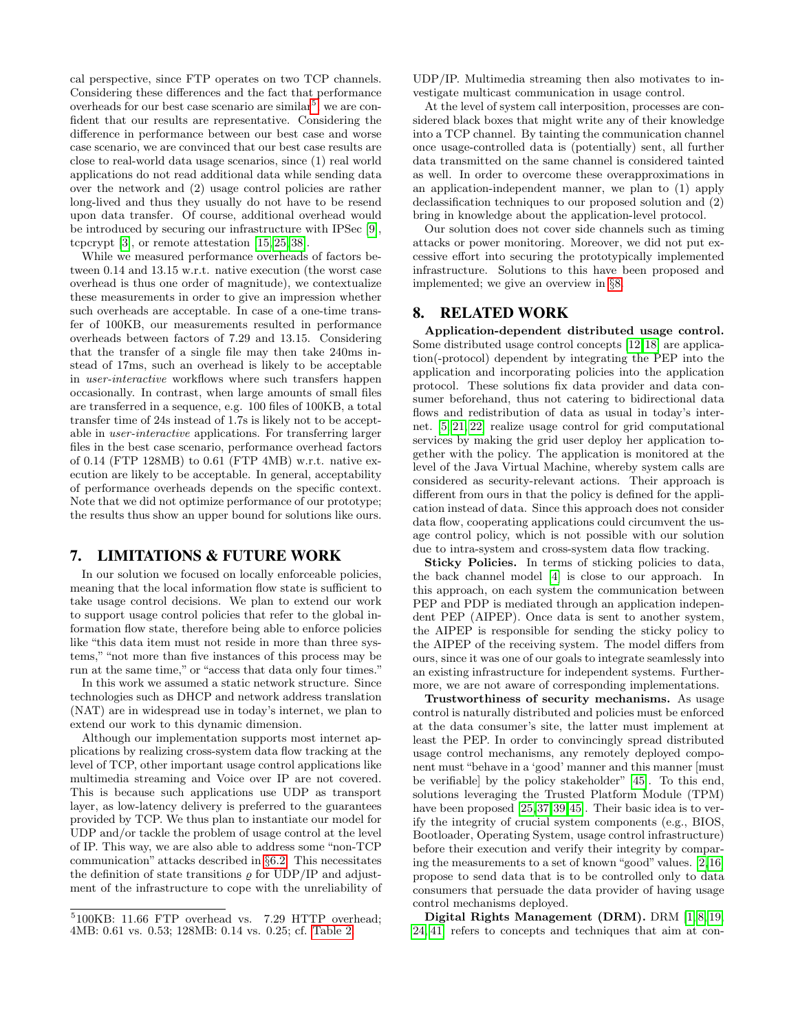cal perspective, since FTP operates on two TCP channels. Considering these differences and the fact that performance overheads for our best case scenario are similar<sup>[5](#page-9-2)</sup>, we are confident that our results are representative. Considering the difference in performance between our best case and worse case scenario, we are convinced that our best case results are close to real-world data usage scenarios, since (1) real world applications do not read additional data while sending data over the network and (2) usage control policies are rather long-lived and thus they usually do not have to be resend upon data transfer. Of course, additional overhead would be introduced by securing our infrastructure with IPSec [\[9\]](#page-10-9), tcpcrypt [\[3\]](#page-10-8), or remote attestation [\[15,](#page-11-19) [25,](#page-11-15) [38\]](#page-11-20).

While we measured performance overheads of factors between 0.14 and 13.15 w.r.t. native execution (the worst case overhead is thus one order of magnitude), we contextualize these measurements in order to give an impression whether such overheads are acceptable. In case of a one-time transfer of 100KB, our measurements resulted in performance overheads between factors of 7.29 and 13.15. Considering that the transfer of a single file may then take 240ms instead of 17ms, such an overhead is likely to be acceptable in user-interactive workflows where such transfers happen occasionally. In contrast, when large amounts of small files are transferred in a sequence, e.g. 100 files of 100KB, a total transfer time of 24s instead of 1.7s is likely not to be acceptable in user-interactive applications. For transferring larger files in the best case scenario, performance overhead factors of 0.14 (FTP 128MB) to 0.61 (FTP 4MB) w.r.t. native execution are likely to be acceptable. In general, acceptability of performance overheads depends on the specific context. Note that we did not optimize performance of our prototype; the results thus show an upper bound for solutions like ours.

## <span id="page-9-0"></span>7. LIMITATIONS & FUTURE WORK

In our solution we focused on locally enforceable policies, meaning that the local information flow state is sufficient to take usage control decisions. We plan to extend our work to support usage control policies that refer to the global information flow state, therefore being able to enforce policies like "this data item must not reside in more than three systems,""not more than five instances of this process may be run at the same time," or "access that data only four times."

In this work we assumed a static network structure. Since technologies such as DHCP and network address translation (NAT) are in widespread use in today's internet, we plan to extend our work to this dynamic dimension.

Although our implementation supports most internet applications by realizing cross-system data flow tracking at the level of TCP, other important usage control applications like multimedia streaming and Voice over IP are not covered. This is because such applications use UDP as transport layer, as low-latency delivery is preferred to the guarantees provided by TCP. We thus plan to instantiate our model for UDP and/or tackle the problem of usage control at the level of IP. This way, we are also able to address some "non-TCP communication" attacks described in §[6.2.](#page-7-0) This necessitates the definition of state transitions  $\rho$  for UDP/IP and adjustment of the infrastructure to cope with the unreliability of

UDP/IP. Multimedia streaming then also motivates to investigate multicast communication in usage control.

At the level of system call interposition, processes are considered black boxes that might write any of their knowledge into a TCP channel. By tainting the communication channel once usage-controlled data is (potentially) sent, all further data transmitted on the same channel is considered tainted as well. In order to overcome these overapproximations in an application-independent manner, we plan to (1) apply declassification techniques to our proposed solution and (2) bring in knowledge about the application-level protocol.

Our solution does not cover side channels such as timing attacks or power monitoring. Moreover, we did not put excessive effort into securing the prototypically implemented infrastructure. Solutions to this have been proposed and implemented; we give an overview in §[8.](#page-9-1)

## <span id="page-9-1"></span>8. RELATED WORK

Application-dependent distributed usage control. Some distributed usage control concepts [\[12,](#page-10-3)[18\]](#page-11-3) are application(-protocol) dependent by integrating the PEP into the application and incorporating policies into the application protocol. These solutions fix data provider and data consumer beforehand, thus not catering to bidirectional data flows and redistribution of data as usual in today's internet. [\[5,](#page-10-10) [21,](#page-11-10) [22\]](#page-11-21) realize usage control for grid computational services by making the grid user deploy her application together with the policy. The application is monitored at the level of the Java Virtual Machine, whereby system calls are considered as security-relevant actions. Their approach is different from ours in that the policy is defined for the application instead of data. Since this approach does not consider data flow, cooperating applications could circumvent the usage control policy, which is not possible with our solution due to intra-system and cross-system data flow tracking.

Sticky Policies. In terms of sticking policies to data, the back channel model [\[4\]](#page-10-11) is close to our approach. In this approach, on each system the communication between PEP and PDP is mediated through an application independent PEP (AIPEP). Once data is sent to another system, the AIPEP is responsible for sending the sticky policy to the AIPEP of the receiving system. The model differs from ours, since it was one of our goals to integrate seamlessly into an existing infrastructure for independent systems. Furthermore, we are not aware of corresponding implementations.

Trustworthiness of security mechanisms. As usage control is naturally distributed and policies must be enforced at the data consumer's site, the latter must implement at least the PEP. In order to convincingly spread distributed usage control mechanisms, any remotely deployed component must "behave in a 'good' manner and this manner [must be verifiable] by the policy stakeholder" [\[45\]](#page-11-22). To this end, solutions leveraging the Trusted Platform Module (TPM) have been proposed [\[25,](#page-11-15)[37,](#page-11-23)[39,](#page-11-24)[45\]](#page-11-22). Their basic idea is to verify the integrity of crucial system components (e.g., BIOS, Bootloader, Operating System, usage control infrastructure) before their execution and verify their integrity by comparing the measurements to a set of known "good" values. [\[2,](#page-10-2)[16\]](#page-11-2) propose to send data that is to be controlled only to data consumers that persuade the data provider of having usage control mechanisms deployed.

Digital Rights Management (DRM). DRM [\[1,](#page-10-12) [8,](#page-10-13) [19,](#page-11-25) [24,](#page-11-26) [41\]](#page-11-27) refers to concepts and techniques that aim at con-

<span id="page-9-2"></span><sup>5</sup> 100KB: 11.66 FTP overhead vs. 7.29 HTTP overhead; 4MB: 0.61 vs. 0.53; 128MB: 0.14 vs. 0.25; cf. [Table 2.](#page-8-4)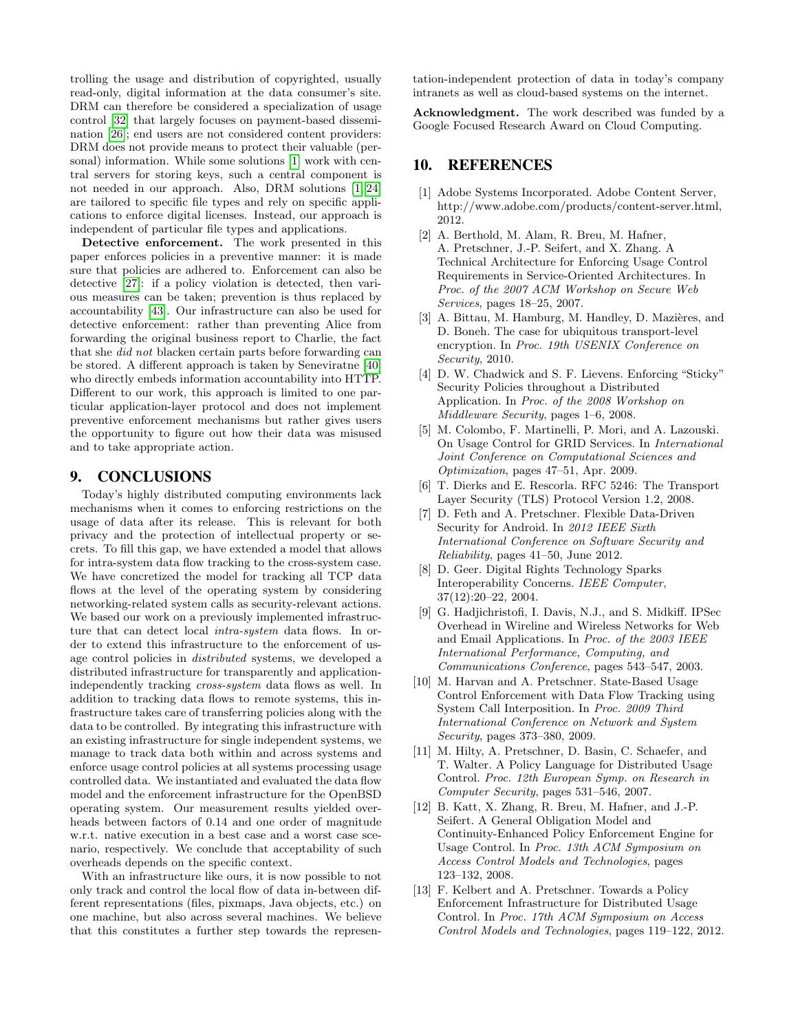trolling the usage and distribution of copyrighted, usually read-only, digital information at the data consumer's site. DRM can therefore be considered a specialization of usage control [\[32\]](#page-11-28) that largely focuses on payment-based dissemination [\[26\]](#page-11-0); end users are not considered content providers: DRM does not provide means to protect their valuable (personal) information. While some solutions [\[1\]](#page-10-12) work with central servers for storing keys, such a central component is not needed in our approach. Also, DRM solutions [\[1,](#page-10-12) [24\]](#page-11-26) are tailored to specific file types and rely on specific applications to enforce digital licenses. Instead, our approach is independent of particular file types and applications.

Detective enforcement. The work presented in this paper enforces policies in a preventive manner: it is made sure that policies are adhered to. Enforcement can also be detective [\[27\]](#page-11-29): if a policy violation is detected, then various measures can be taken; prevention is thus replaced by accountability [\[43\]](#page-11-30). Our infrastructure can also be used for detective enforcement: rather than preventing Alice from forwarding the original business report to Charlie, the fact that she did not blacken certain parts before forwarding can be stored. A different approach is taken by Seneviratne [\[40\]](#page-11-31) who directly embeds information accountability into HTTP. Different to our work, this approach is limited to one particular application-layer protocol and does not implement preventive enforcement mechanisms but rather gives users the opportunity to figure out how their data was misused and to take appropriate action.

#### <span id="page-10-5"></span>9. CONCLUSIONS

Today's highly distributed computing environments lack mechanisms when it comes to enforcing restrictions on the usage of data after its release. This is relevant for both privacy and the protection of intellectual property or secrets. To fill this gap, we have extended a model that allows for intra-system data flow tracking to the cross-system case. We have concretized the model for tracking all TCP data flows at the level of the operating system by considering networking-related system calls as security-relevant actions. We based our work on a previously implemented infrastructure that can detect local *intra-system* data flows. In order to extend this infrastructure to the enforcement of usage control policies in distributed systems, we developed a distributed infrastructure for transparently and applicationindependently tracking cross-system data flows as well. In addition to tracking data flows to remote systems, this infrastructure takes care of transferring policies along with the data to be controlled. By integrating this infrastructure with an existing infrastructure for single independent systems, we manage to track data both within and across systems and enforce usage control policies at all systems processing usage controlled data. We instantiated and evaluated the data flow model and the enforcement infrastructure for the OpenBSD operating system. Our measurement results yielded overheads between factors of 0.14 and one order of magnitude w.r.t. native execution in a best case and a worst case scenario, respectively. We conclude that acceptability of such overheads depends on the specific context.

With an infrastructure like ours, it is now possible to not only track and control the local flow of data in-between different representations (files, pixmaps, Java objects, etc.) on one machine, but also across several machines. We believe that this constitutes a further step towards the representation-independent protection of data in today's company intranets as well as cloud-based systems on the internet.

Acknowledgment. The work described was funded by a Google Focused Research Award on Cloud Computing.

## 10. REFERENCES

- <span id="page-10-12"></span>[1] Adobe Systems Incorporated. Adobe Content Server, http://www.adobe.com/products/content-server.html, 2012.
- <span id="page-10-2"></span>[2] A. Berthold, M. Alam, R. Breu, M. Hafner, A. Pretschner, J.-P. Seifert, and X. Zhang. A Technical Architecture for Enforcing Usage Control Requirements in Service-Oriented Architectures. In Proc. of the 2007 ACM Workshop on Secure Web Services, pages 18–25, 2007.
- <span id="page-10-8"></span>[3] A. Bittau, M. Hamburg, M. Handley, D. Mazières, and D. Boneh. The case for ubiquitous transport-level encryption. In Proc. 19th USENIX Conference on Security, 2010.
- <span id="page-10-11"></span>[4] D. W. Chadwick and S. F. Lievens. Enforcing "Sticky" Security Policies throughout a Distributed Application. In Proc. of the 2008 Workshop on Middleware Security, pages 1–6, 2008.
- <span id="page-10-10"></span>[5] M. Colombo, F. Martinelli, P. Mori, and A. Lazouski. On Usage Control for GRID Services. In International Joint Conference on Computational Sciences and Optimization, pages 47–51, Apr. 2009.
- <span id="page-10-7"></span>[6] T. Dierks and E. Rescorla. RFC 5246: The Transport Layer Security (TLS) Protocol Version 1.2, 2008.
- <span id="page-10-4"></span>[7] D. Feth and A. Pretschner. Flexible Data-Driven Security for Android. In 2012 IEEE Sixth International Conference on Software Security and Reliability, pages 41–50, June 2012.
- <span id="page-10-13"></span>[8] D. Geer. Digital Rights Technology Sparks Interoperability Concerns. IEEE Computer, 37(12):20–22, 2004.
- <span id="page-10-9"></span>[9] G. Hadjichristofi, I. Davis, N.J., and S. Midkiff. IPSec Overhead in Wireline and Wireless Networks for Web and Email Applications. In Proc. of the 2003 IEEE International Performance, Computing, and Communications Conference, pages 543–547, 2003.
- <span id="page-10-1"></span>[10] M. Harvan and A. Pretschner. State-Based Usage Control Enforcement with Data Flow Tracking using System Call Interposition. In Proc. 2009 Third International Conference on Network and System Security, pages 373–380, 2009.
- <span id="page-10-0"></span>[11] M. Hilty, A. Pretschner, D. Basin, C. Schaefer, and T. Walter. A Policy Language for Distributed Usage Control. Proc. 12th European Symp. on Research in Computer Security, pages 531–546, 2007.
- <span id="page-10-3"></span>[12] B. Katt, X. Zhang, R. Breu, M. Hafner, and J.-P. Seifert. A General Obligation Model and Continuity-Enhanced Policy Enforcement Engine for Usage Control. In Proc. 13th ACM Symposium on Access Control Models and Technologies, pages 123–132, 2008.
- <span id="page-10-6"></span>[13] F. Kelbert and A. Pretschner. Towards a Policy Enforcement Infrastructure for Distributed Usage Control. In Proc. 17th ACM Symposium on Access Control Models and Technologies, pages 119–122, 2012.